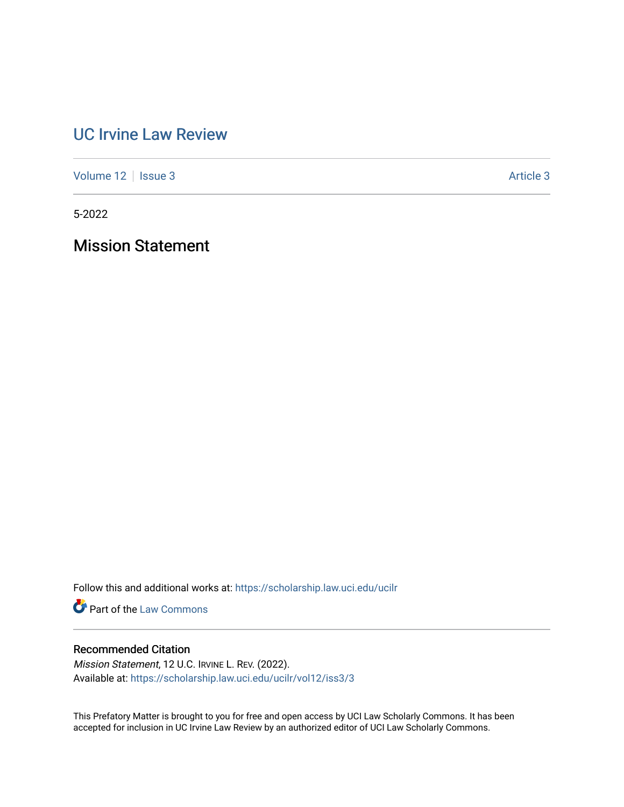# [UC Irvine Law Review](https://scholarship.law.uci.edu/ucilr)

[Volume 12](https://scholarship.law.uci.edu/ucilr/vol12) | [Issue 3](https://scholarship.law.uci.edu/ucilr/vol12/iss3) Article 3

5-2022

Mission Statement

Follow this and additional works at: [https://scholarship.law.uci.edu/ucilr](https://scholarship.law.uci.edu/ucilr?utm_source=scholarship.law.uci.edu%2Fucilr%2Fvol12%2Fiss3%2F3&utm_medium=PDF&utm_campaign=PDFCoverPages)

**Part of the [Law Commons](https://network.bepress.com/hgg/discipline/578?utm_source=scholarship.law.uci.edu%2Fucilr%2Fvol12%2Fiss3%2F3&utm_medium=PDF&utm_campaign=PDFCoverPages)** 

## Recommended Citation

Mission Statement, 12 U.C. IRVINE L. REV. (2022). Available at: [https://scholarship.law.uci.edu/ucilr/vol12/iss3/3](https://scholarship.law.uci.edu/ucilr/vol12/iss3/3?utm_source=scholarship.law.uci.edu%2Fucilr%2Fvol12%2Fiss3%2F3&utm_medium=PDF&utm_campaign=PDFCoverPages) 

This Prefatory Matter is brought to you for free and open access by UCI Law Scholarly Commons. It has been accepted for inclusion in UC Irvine Law Review by an authorized editor of UCI Law Scholarly Commons.